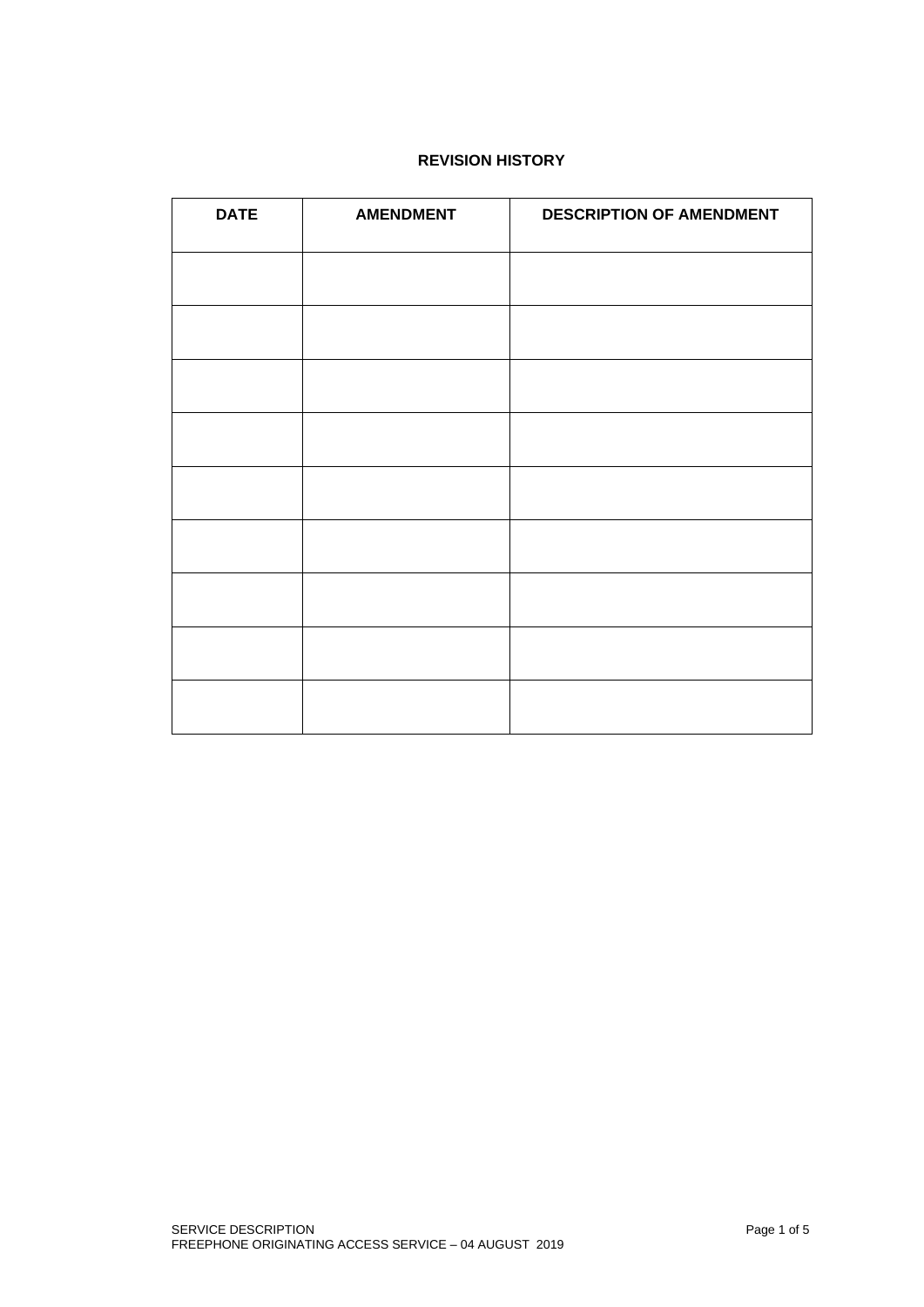# **REVISION HISTORY**

| <b>DATE</b> | <b>AMENDMENT</b> | <b>DESCRIPTION OF AMENDMENT</b> |
|-------------|------------------|---------------------------------|
|             |                  |                                 |
|             |                  |                                 |
|             |                  |                                 |
|             |                  |                                 |
|             |                  |                                 |
|             |                  |                                 |
|             |                  |                                 |
|             |                  |                                 |
|             |                  |                                 |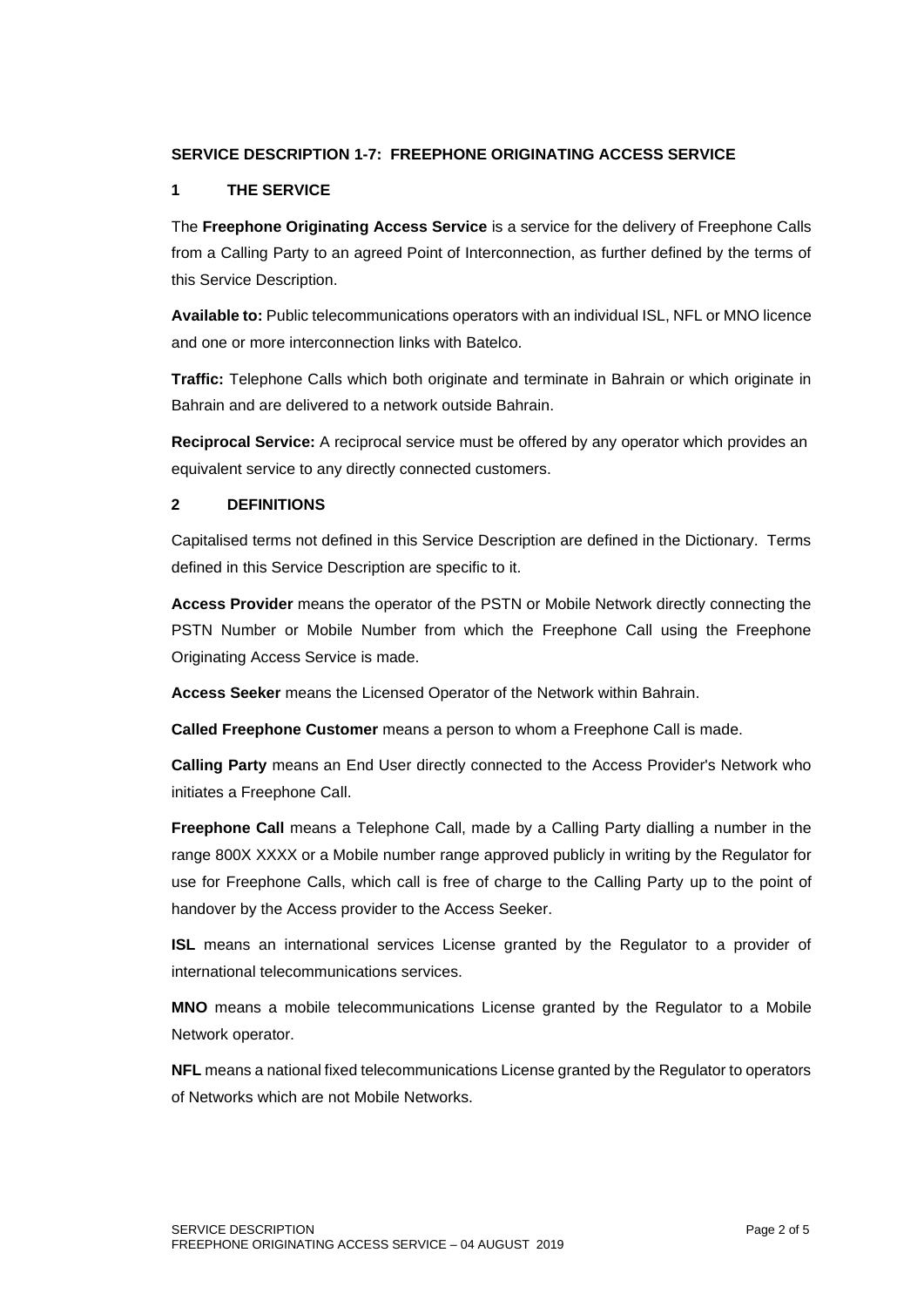# **SERVICE DESCRIPTION 1-7: FREEPHONE ORIGINATING ACCESS SERVICE**

## **1 THE SERVICE**

The **Freephone Originating Access Service** is a service for the delivery of Freephone Calls from a Calling Party to an agreed Point of Interconnection, as further defined by the terms of this Service Description.

**Available to:** Public telecommunications operators with an individual ISL, NFL or MNO licence and one or more interconnection links with Batelco.

**Traffic:** Telephone Calls which both originate and terminate in Bahrain or which originate in Bahrain and are delivered to a network outside Bahrain.

**Reciprocal Service:** A reciprocal service must be offered by any operator which provides an equivalent service to any directly connected customers.

# **2 DEFINITIONS**

Capitalised terms not defined in this Service Description are defined in the Dictionary. Terms defined in this Service Description are specific to it.

**Access Provider** means the operator of the PSTN or Mobile Network directly connecting the PSTN Number or Mobile Number from which the Freephone Call using the Freephone Originating Access Service is made.

**Access Seeker** means the Licensed Operator of the Network within Bahrain.

**Called Freephone Customer** means a person to whom a Freephone Call is made.

**Calling Party** means an End User directly connected to the Access Provider's Network who initiates a Freephone Call.

**Freephone Call** means a Telephone Call, made by a Calling Party dialling a number in the range 800X XXXX or a Mobile number range approved publicly in writing by the Regulator for use for Freephone Calls, which call is free of charge to the Calling Party up to the point of handover by the Access provider to the Access Seeker.

**ISL** means an international services License granted by the Regulator to a provider of international telecommunications services.

**MNO** means a mobile telecommunications License granted by the Regulator to a Mobile Network operator.

**NFL** means a national fixed telecommunications License granted by the Regulator to operators of Networks which are not Mobile Networks.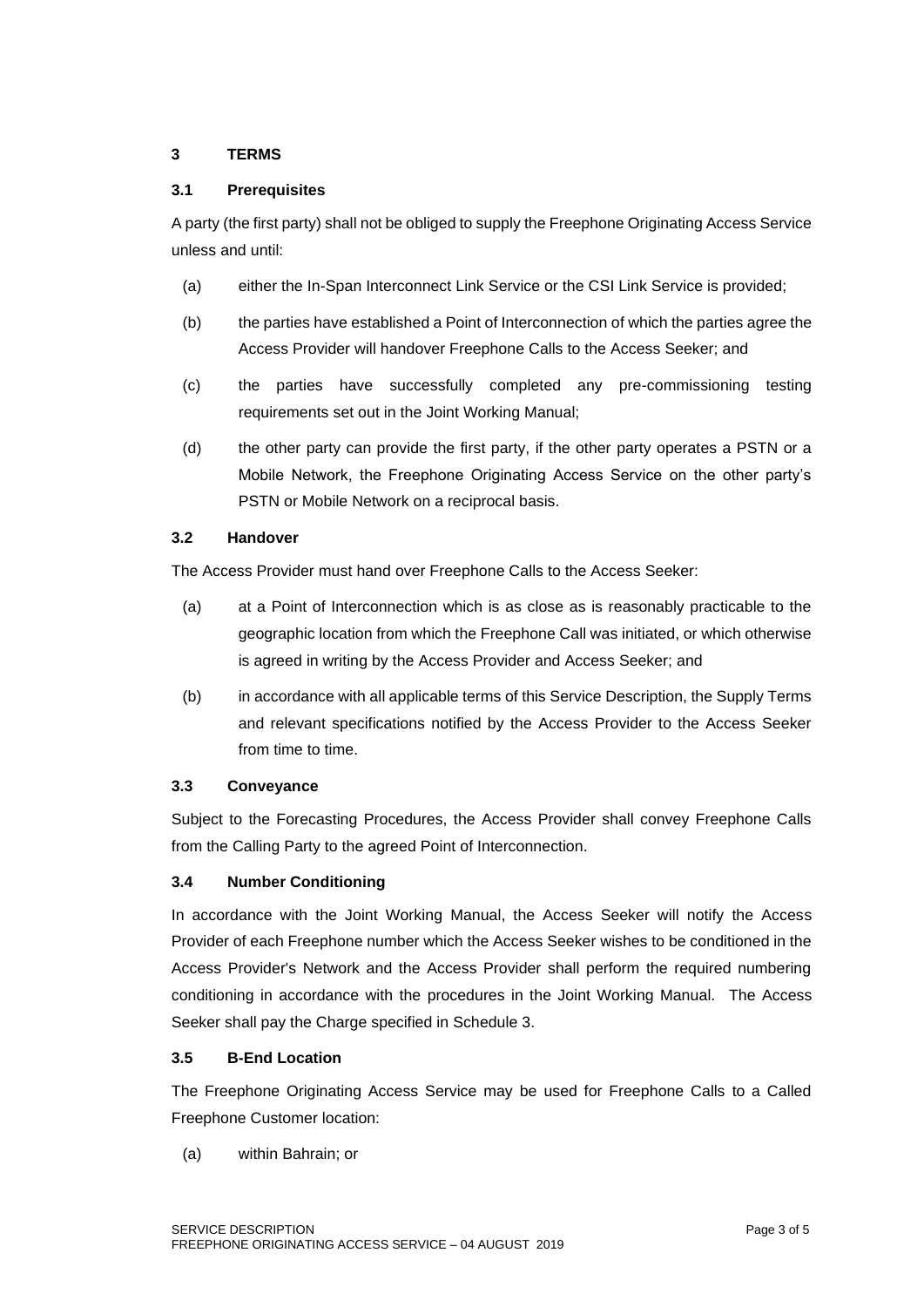# **3 TERMS**

## **3.1 Prerequisites**

A party (the first party) shall not be obliged to supply the Freephone Originating Access Service unless and until:

- (a) either the In-Span Interconnect Link Service or the CSI Link Service is provided;
- (b) the parties have established a Point of Interconnection of which the parties agree the Access Provider will handover Freephone Calls to the Access Seeker; and
- (c) the parties have successfully completed any pre-commissioning testing requirements set out in the Joint Working Manual;
- (d) the other party can provide the first party, if the other party operates a PSTN or a Mobile Network, the Freephone Originating Access Service on the other party's PSTN or Mobile Network on a reciprocal basis.

# **3.2 Handover**

The Access Provider must hand over Freephone Calls to the Access Seeker:

- (a) at a Point of Interconnection which is as close as is reasonably practicable to the geographic location from which the Freephone Call was initiated, or which otherwise is agreed in writing by the Access Provider and Access Seeker; and
- (b) in accordance with all applicable terms of this Service Description, the Supply Terms and relevant specifications notified by the Access Provider to the Access Seeker from time to time.

## **3.3 Conveyance**

Subject to the Forecasting Procedures, the Access Provider shall convey Freephone Calls from the Calling Party to the agreed Point of Interconnection.

# **3.4 Number Conditioning**

In accordance with the Joint Working Manual, the Access Seeker will notify the Access Provider of each Freephone number which the Access Seeker wishes to be conditioned in the Access Provider's Network and the Access Provider shall perform the required numbering conditioning in accordance with the procedures in the Joint Working Manual. The Access Seeker shall pay the Charge specified in Schedule 3.

## **3.5 B-End Location**

The Freephone Originating Access Service may be used for Freephone Calls to a Called Freephone Customer location:

(a) within Bahrain; or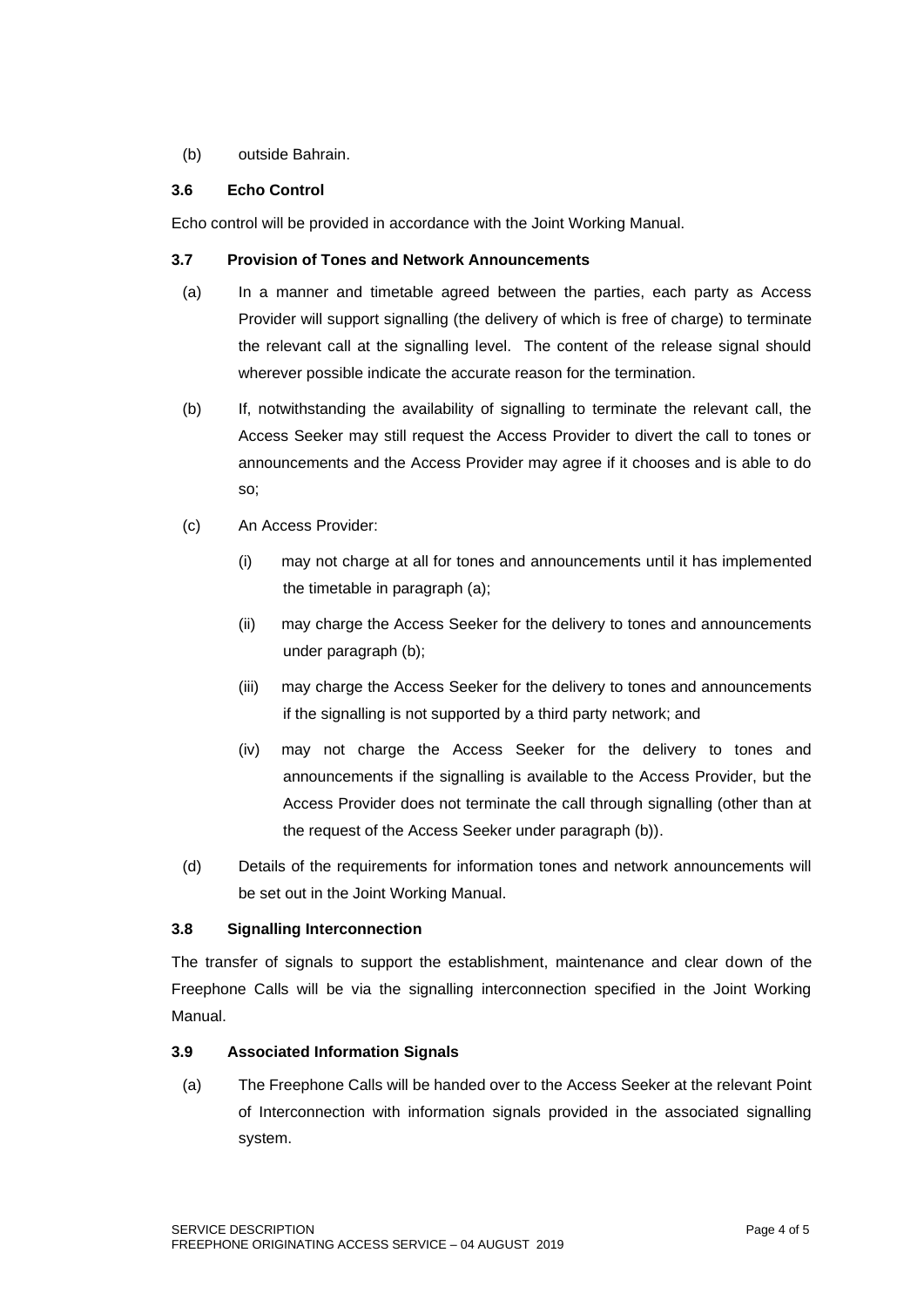## (b) outside Bahrain.

# **3.6 Echo Control**

Echo control will be provided in accordance with the Joint Working Manual.

# **3.7 Provision of Tones and Network Announcements**

- (a) In a manner and timetable agreed between the parties, each party as Access Provider will support signalling (the delivery of which is free of charge) to terminate the relevant call at the signalling level. The content of the release signal should wherever possible indicate the accurate reason for the termination.
- (b) If, notwithstanding the availability of signalling to terminate the relevant call, the Access Seeker may still request the Access Provider to divert the call to tones or announcements and the Access Provider may agree if it chooses and is able to do so;
- (c) An Access Provider:
	- (i) may not charge at all for tones and announcements until it has implemented the timetable in paragraph (a);
	- (ii) may charge the Access Seeker for the delivery to tones and announcements under paragraph (b);
	- (iii) may charge the Access Seeker for the delivery to tones and announcements if the signalling is not supported by a third party network; and
	- (iv) may not charge the Access Seeker for the delivery to tones and announcements if the signalling is available to the Access Provider, but the Access Provider does not terminate the call through signalling (other than at the request of the Access Seeker under paragraph (b)).
- (d) Details of the requirements for information tones and network announcements will be set out in the Joint Working Manual.

## **3.8 Signalling Interconnection**

The transfer of signals to support the establishment, maintenance and clear down of the Freephone Calls will be via the signalling interconnection specified in the Joint Working Manual.

# **3.9 Associated Information Signals**

(a) The Freephone Calls will be handed over to the Access Seeker at the relevant Point of Interconnection with information signals provided in the associated signalling system.